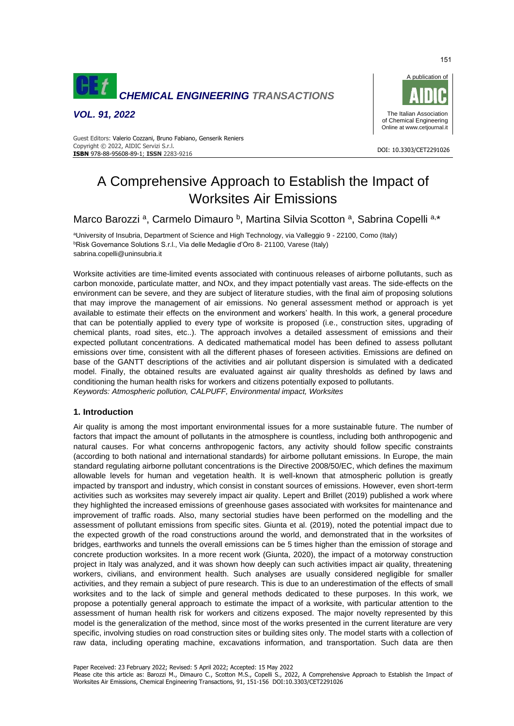

*VOL. 91, 2022*



#### DOI: 10.3303/CET2291026 **ISBN** 978-88-95608-89-1; **ISSN** 2283-9216 Guest Editors: Valerio Cozzani, Bruno Fabiano, Genserik Reniers Copyright © 2022, AIDIC Servizi S.r.l.

# A Comprehensive Approach to Establish the Impact of Worksites Air Emissions

Marco Barozzi<sup>a</sup>, Carmelo Dimauro <sup>b</sup>, Martina Silvia Scotton <sup>a</sup>, Sabrina Copelli<sup>a,\*</sup>

<sup>a</sup>University of Insubria, Department of Science and High Technology, via Valleggio 9 - 22100, Como (Italy) bRisk Governance Solutions S.r.l., Via delle Medaglie d'Oro 8- 21100, Varese (Italy) sabrina.copelli@uninsubria.it

Worksite activities are time-limited events associated with continuous releases of airborne pollutants, such as carbon monoxide, particulate matter, and NOx, and they impact potentially vast areas. The side-effects on the environment can be severe, and they are subject of literature studies, with the final aim of proposing solutions that may improve the management of air emissions. No general assessment method or approach is yet available to estimate their effects on the environment and workers' health. In this work, a general procedure that can be potentially applied to every type of worksite is proposed (i.e., construction sites, upgrading of chemical plants, road sites, etc..). The approach involves a detailed assessment of emissions and their expected pollutant concentrations. A dedicated mathematical model has been defined to assess pollutant emissions over time, consistent with all the different phases of foreseen activities. Emissions are defined on base of the GANTT descriptions of the activities and air pollutant dispersion is simulated with a dedicated model. Finally, the obtained results are evaluated against air quality thresholds as defined by laws and conditioning the human health risks for workers and citizens potentially exposed to pollutants. *Keywords: Atmospheric pollution, CALPUFF, Environmental impact, Worksites*

## **1. Introduction**

Air quality is among the most important environmental issues for a more sustainable future. The number of factors that impact the amount of pollutants in the atmosphere is countless, including both anthropogenic and natural causes. For what concerns anthropogenic factors, any activity should follow specific constraints (according to both national and international standards) for airborne pollutant emissions. In Europe, the main standard regulating airborne pollutant concentrations is the Directive 2008/50/EC, which defines the maximum allowable levels for human and vegetation health. It is well-known that atmospheric pollution is greatly impacted by transport and industry, which consist in constant sources of emissions. However, even short-term activities such as worksites may severely impact air quality. Lepert and Brillet (2019) published a work where they highlighted the increased emissions of greenhouse gases associated with worksites for maintenance and improvement of traffic roads. Also, many sectorial studies have been performed on the modelling and the assessment of pollutant emissions from specific sites. Giunta et al. (2019), noted the potential impact due to the expected growth of the road constructions around the world, and demonstrated that in the worksites of bridges, earthworks and tunnels the overall emissions can be 5 times higher than the emission of storage and concrete production worksites. In a more recent work (Giunta, 2020), the impact of a motorway construction project in Italy was analyzed, and it was shown how deeply can such activities impact air quality, threatening workers, civilians, and environment health. Such analyses are usually considered negligible for smaller activities, and they remain a subject of pure research. This is due to an underestimation of the effects of small worksites and to the lack of simple and general methods dedicated to these purposes. In this work, we propose a potentially general approach to estimate the impact of a worksite, with particular attention to the assessment of human health risk for workers and citizens exposed. The major novelty represented by this model is the generalization of the method, since most of the works presented in the current literature are very specific, involving studies on road construction sites or building sites only. The model starts with a collection of raw data, including operating machine, excavations information, and transportation. Such data are then

Paper Received: 23 February 2022; Revised: 5 April 2022; Accepted: 15 May 2022

Please cite this article as: Barozzi M., Dimauro C., Scotton M.S., Copelli S., 2022, A Comprehensive Approach to Establish the Impact of Worksites Air Emissions, Chemical Engineering Transactions, 91, 151-156 DOI:10.3303/CET2291026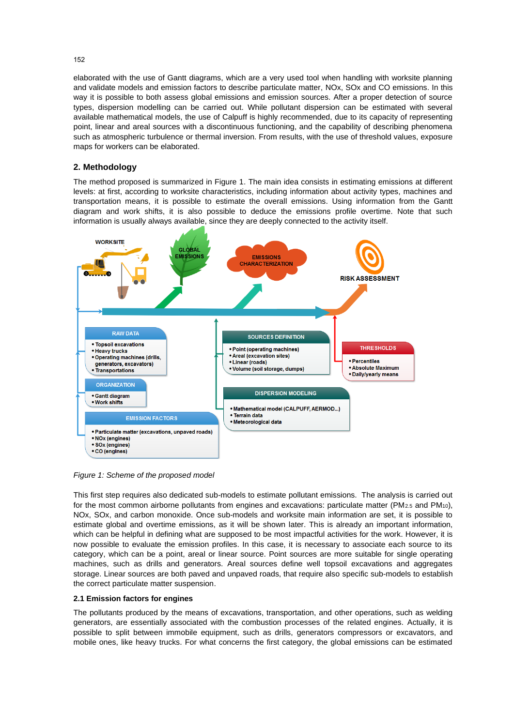elaborated with the use of Gantt diagrams, which are a very used tool when handling with worksite planning and validate models and emission factors to describe particulate matter, NOx, SOx and CO emissions. In this way it is possible to both assess global emissions and emission sources. After a proper detection of source types, dispersion modelling can be carried out. While pollutant dispersion can be estimated with several available mathematical models, the use of Calpuff is highly recommended, due to its capacity of representing point, linear and areal sources with a discontinuous functioning, and the capability of describing phenomena such as atmospheric turbulence or thermal inversion. From results, with the use of threshold values, exposure maps for workers can be elaborated.

## **2. Methodology**

The method proposed is summarized in Figure 1. The main idea consists in estimating emissions at different levels: at first, according to worksite characteristics, including information about activity types, machines and transportation means, it is possible to estimate the overall emissions. Using information from the Gantt diagram and work shifts, it is also possible to deduce the emissions profile overtime. Note that such information is usually always available, since they are deeply connected to the activity itself.



*Figure 1: Scheme of the proposed model*

This first step requires also dedicated sub-models to estimate pollutant emissions. The analysis is carried out for the most common airborne pollutants from engines and excavations: particulate matter ( $PM_{2.5}$  and  $PM_{10}$ ), NOx, SOx, and carbon monoxide. Once sub-models and worksite main information are set, it is possible to estimate global and overtime emissions, as it will be shown later. This is already an important information, which can be helpful in defining what are supposed to be most impactful activities for the work. However, it is now possible to evaluate the emission profiles. In this case, it is necessary to associate each source to its category, which can be a point, areal or linear source. Point sources are more suitable for single operating machines, such as drills and generators. Areal sources define well topsoil excavations and aggregates storage. Linear sources are both paved and unpaved roads, that require also specific sub-models to establish the correct particulate matter suspension.

## **2.1 Emission factors for engines**

The pollutants produced by the means of excavations, transportation, and other operations, such as welding generators, are essentially associated with the combustion processes of the related engines. Actually, it is possible to split between immobile equipment, such as drills, generators compressors or excavators, and mobile ones, like heavy trucks. For what concerns the first category, the global emissions can be estimated

152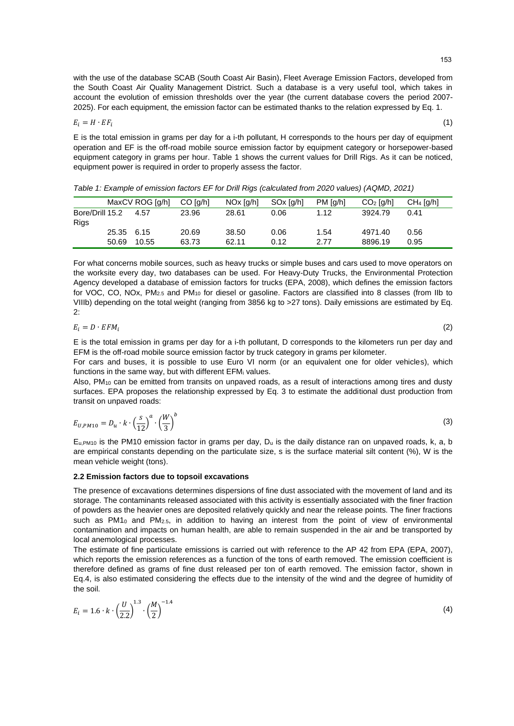(1)

 $(2)$ 

with the use of the database SCAB (South Coast Air Basin), Fleet Average Emission Factors, developed from the South Coast Air Quality Management District. Such a database is a very useful tool, which takes in account the evolution of emission thresholds over the year (the current database covers the period 2007- 2025). For each equipment, the emission factor can be estimated thanks to the relation expressed by Eq. 1.

$$
E_i = H \cdot EF_i
$$

E is the total emission in grams per day for a i-th pollutant, H corresponds to the hours per day of equipment operation and EF is the off-road mobile source emission factor by equipment category or horsepower-based equipment category in grams per hour. Table 1 shows the current values for Drill Rigs. As it can be noticed, equipment power is required in order to properly assess the factor.

*Table 1: Example of emission factors EF for Drill Rigs (calculated from 2020 values) (AQMD, 2021)*

|                         |            | MaxCV ROG [q/h] | CO [q/h] | NOx [q/h] | SOx [q/h] | PM [q/h] | $CO2$ [g/h] | $CH4$ [a/h] |
|-------------------------|------------|-----------------|----------|-----------|-----------|----------|-------------|-------------|
| Bore/Drill 15.2<br>Rigs |            | 4.57            | 23.96    | 28.61     | 0.06      | 1.12     | 3924.79     | 0.41        |
|                         | 25.35 6.15 |                 | 20.69    | 38.50     | 0.06      | 1.54     | 4971.40     | 0.56        |
|                         | 50.69      | 10.55           | 63.73    | 62.11     | 0.12      | 2 77     | 8896.19     | 0.95        |

For what concerns mobile sources, such as heavy trucks or simple buses and cars used to move operators on the worksite every day, two databases can be used. For Heavy-Duty Trucks, the Environmental Protection Agency developed a database of emission factors for trucks (EPA, 2008), which defines the emission factors for VOC, CO, NOx,  $PM_{2.5}$  and  $PM_{10}$  for diesel or gasoline. Factors are classified into 8 classes (from IIb to VIIIb) depending on the total weight (ranging from 3856 kg to >27 tons). Daily emissions are estimated by Eq. 2:

$$
E_i = D \cdot EFM_i
$$

E is the total emission in grams per day for a i-th pollutant, D corresponds to the kilometers run per day and EFM is the off-road mobile source emission factor by truck category in grams per kilometer.

For cars and buses, it is possible to use Euro VI norm (or an equivalent one for older vehicles), which functions in the same way, but with different EFM; values.

Also,  $PM_{10}$  can be emitted from transits on unpaved roads, as a result of interactions among tires and dusty surfaces. EPA proposes the relationship expressed by Eq. 3 to estimate the additional dust production from transit on unpaved roads:

$$
E_{U,PM10} = D_u \cdot k \cdot \left(\frac{s}{12}\right)^a \cdot \left(\frac{W}{3}\right)^b \tag{3}
$$

 $E_{u,PM10}$  is the PM10 emission factor in grams per day,  $D_u$  is the daily distance ran on unpaved roads, k, a, b are empirical constants depending on the particulate size, s is the surface material silt content (%), W is the mean vehicle weight (tons).

## **2.2 Emission factors due to topsoil excavations**

The presence of excavations determines dispersions of fine dust associated with the movement of land and its storage. The contaminants released associated with this activity is essentially associated with the finer fraction of powders as the heavier ones are deposited relatively quickly and near the release points. The finer fractions such as PM1 $_0$  and PM<sub>2.5</sub>, in addition to having an interest from the point of view of environmental contamination and impacts on human health, are able to remain suspended in the air and be transported by local anemological processes.

The estimate of fine particulate emissions is carried out with reference to the AP 42 from EPA (EPA, 2007), which reports the emission references as a function of the tons of earth removed. The emission coefficient is therefore defined as grams of fine dust released per ton of earth removed. The emission factor, shown in Eq.4, is also estimated considering the effects due to the intensity of the wind and the degree of humidity of the soil.

$$
E_i = 1.6 \cdot k \cdot \left(\frac{U}{2.2}\right)^{1.3} \cdot \left(\frac{M}{2}\right)^{-1.4}
$$
 (4)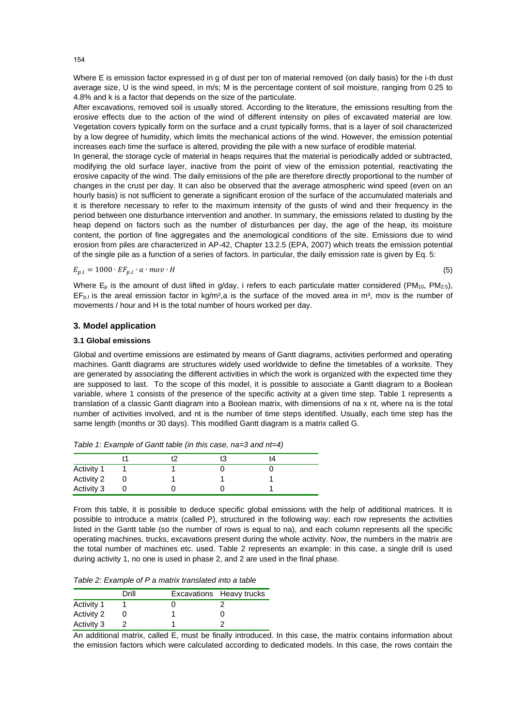Where E is emission factor expressed in g of dust per ton of material removed (on daily basis) for the i-th dust average size, U is the wind speed, in m/s; M is the percentage content of soil moisture, ranging from 0.25 to 4.8% and k is a factor that depends on the size of the particulate.

After excavations, removed soil is usually stored. According to the literature, the emissions resulting from the erosive effects due to the action of the wind of different intensity on piles of excavated material are low. Vegetation covers typically form on the surface and a crust typically forms, that is a layer of soil characterized by a low degree of humidity, which limits the mechanical actions of the wind. However, the emission potential increases each time the surface is altered, providing the pile with a new surface of erodible material.

In general, the storage cycle of material in heaps requires that the material is periodically added or subtracted, modifying the old surface layer, inactive from the point of view of the emission potential, reactivating the erosive capacity of the wind. The daily emissions of the pile are therefore directly proportional to the number of changes in the crust per day. It can also be observed that the average atmospheric wind speed (even on an hourly basis) is not sufficient to generate a significant erosion of the surface of the accumulated materials and it is therefore necessary to refer to the maximum intensity of the gusts of wind and their frequency in the period between one disturbance intervention and another. In summary, the emissions related to dusting by the heap depend on factors such as the number of disturbances per day, the age of the heap, its moisture content, the portion of fine aggregates and the anemological conditions of the site. Emissions due to wind erosion from piles are characterized in AP-42, Chapter 13.2.5 (EPA, 2007) which treats the emission potential of the single pile as a function of a series of factors. In particular, the daily emission rate is given by Eq. 5:

$$
E_{p,i} = 1000 \cdot EF_{p,i} \cdot a \cdot mov \cdot H \tag{5}
$$

Where  $E_p$  is the amount of dust lifted in g/day, i refers to each particulate matter considered (PM<sub>10</sub>, PM<sub>2.5</sub>),  $EF_{p,l}$  is the areal emission factor in kg/m<sup>2</sup>,a is the surface of the moved area in m<sup>3</sup>, mov is the number of movements / hour and H is the total number of hours worked per day.

## **3. Model application**

#### **3.1 Global emissions**

Global and overtime emissions are estimated by means of Gantt diagrams, activities performed and operating machines. Gantt diagrams are structures widely used worldwide to define the timetables of a worksite. They are generated by associating the different activities in which the work is organized with the expected time they are supposed to last. To the scope of this model, it is possible to associate a Gantt diagram to a Boolean variable, where 1 consists of the presence of the specific activity at a given time step. Table 1 represents a translation of a classic Gantt diagram into a Boolean matrix, with dimensions of na x nt, where na is the total number of activities involved, and nt is the number of time steps identified. Usually, each time step has the same length (months or 30 days). This modified Gantt diagram is a matrix called G.

|            |  | ťЗ | τ4 |  |
|------------|--|----|----|--|
| Activity 1 |  |    |    |  |
| Activity 2 |  |    |    |  |
| Activity 3 |  |    |    |  |

*Table 1: Example of Gantt table (in this case, na=3 and nt=4)*

From this table, it is possible to deduce specific global emissions with the help of additional matrices. It is possible to introduce a matrix (called P), structured in the following way: each row represents the activities listed in the Gantt table (so the number of rows is equal to na), and each column represents all the specific operating machines, trucks, excavations present during the whole activity. Now, the numbers in the matrix are the total number of machines etc. used. Table 2 represents an example: in this case, a single drill is used during activity 1, no one is used in phase 2, and 2 are used in the final phase.

*Table 2: Example of P a matrix translated into a table* 

|            | Drill | Excavations Heavy trucks |
|------------|-------|--------------------------|
| Activity 1 |       |                          |
| Activity 2 |       |                          |
| Activity 3 |       |                          |

An additional matrix, called E, must be finally introduced. In this case, the matrix contains information about the emission factors which were calculated according to dedicated models. In this case, the rows contain the

154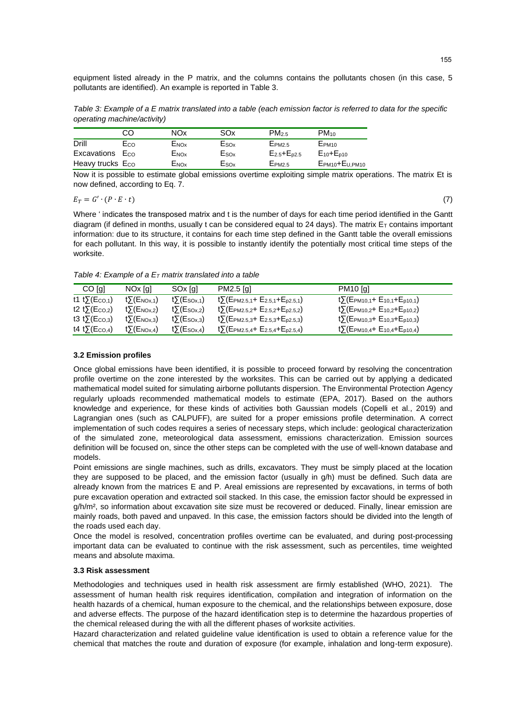equipment listed already in the P matrix, and the columns contains the pollutants chosen (in this case, 5 pollutants are identified). An example is reported in Table 3.

*Table 3: Example of a E matrix translated into a table (each emission factor is referred to data for the specific operating machine/activity)*

|                             | CO  | NOx              | SOx              | PM <sub>2.5</sub>    | $PM_{10}$          |
|-----------------------------|-----|------------------|------------------|----------------------|--------------------|
| Drill                       | Eco | ENOX             | ESOx             | EPM2.5               | EPM <sub>10</sub>  |
| Excavations E <sub>co</sub> |     | E <sub>NOx</sub> | $E_{\text{SOx}}$ | $E_{2.5} + E_{p2.5}$ | $E_{10} + E_{p10}$ |
| Heavy trucks Eco            |     | E <sub>NOx</sub> | Esox             | $E_{PM2.5}$          | EPM10+EU.PM10      |

Now it is possible to estimate global emissions overtime exploiting simple matrix operations. The matrix Et is now defined, according to Eq. 7.

$$
E_T = G' \cdot (P \cdot E \cdot t) \tag{7}
$$

Where ' indicates the transposed matrix and t is the number of days for each time period identified in the Gantt diagram (if defined in months, usually t can be considered equal to 24 days). The matrix  $E<sub>T</sub>$  contains important information: due to its structure, it contains for each time step defined in the Gantt table the overall emissions for each pollutant. In this way, it is possible to instantly identify the potentially most critical time steps of the worksite.

*Table 4: Example of a E<sup>T</sup> matrix translated into a table*

| CO [g]                             | NOx [q]                          | SOx [g]                       | PM2.5 [g]                                                               | <b>PM10</b> [a]                                                        |
|------------------------------------|----------------------------------|-------------------------------|-------------------------------------------------------------------------|------------------------------------------------------------------------|
| t1 t $\Sigma$ (Eco.1)              | t∑(E <sub>NOx.1</sub> )          | $t\sum$ (Eso <sub>x.1</sub> ) | $t\sum$ (EPM2.5,1+ E2.5,1+E <sub>p2.5,1</sub> )                         | $t\Sigma$ (Epm10,1+ E10,1+E <sub>p10,1</sub> )                         |
| t2 t $\Sigma$ (E <sub>co.2</sub> ) | t $\Sigma(E_{\text{NOX}.2})$     | $t\sum$ (Eso <sub>x.2</sub> ) | $t$ ) (E <sub>PM2.5,2</sub> + E <sub>2.5,2</sub> +E <sub>p2.5,2</sub> ) | $t\sum$ (E <sub>PM10,2</sub> + E <sub>10,2</sub> +E <sub>p10,2</sub> ) |
| t3 t $\Sigma$ (Eco.a)              | t $\Sigma$ (E <sub>NOx,3</sub> ) | $t\sum$ (Esox,3)              | $t$ ) (Epm2.5,3+ E2.5,3+Ep2.5,3)                                        | $t\Sigma$ (Epm10,3+ E10,3+Ep10,3)                                      |
| t4 t $\Sigma$ (Eco.4)              | t∑(E <sub>NOx.4</sub> )          | $t\sum$ (Esox,4)              | $t\sum$ (EPM2.5,4+ E2.5,4+E <sub>p2.5,4</sub> )                         | $t\sum$ (EPM10,4+ E10,4+E <sub>p10,4</sub> )                           |

### **3.2 Emission profiles**

Once global emissions have been identified, it is possible to proceed forward by resolving the concentration profile overtime on the zone interested by the worksites. This can be carried out by applying a dedicated mathematical model suited for simulating airborne pollutants dispersion. The Environmental Protection Agency regularly uploads recommended mathematical models to estimate (EPA, 2017). Based on the authors knowledge and experience, for these kinds of activities both Gaussian models (Copelli et al., 2019) and Lagrangian ones (such as CALPUFF), are suited for a proper emissions profile determination. A correct implementation of such codes requires a series of necessary steps, which include: geological characterization of the simulated zone, meteorological data assessment, emissions characterization. Emission sources definition will be focused on, since the other steps can be completed with the use of well-known database and models.

Point emissions are single machines, such as drills, excavators. They must be simply placed at the location they are supposed to be placed, and the emission factor (usually in g/h) must be defined. Such data are already known from the matrices E and P. Areal emissions are represented by excavations, in terms of both pure excavation operation and extracted soil stacked. In this case, the emission factor should be expressed in g/h/m<sup>2</sup>, so information about excavation site size must be recovered or deduced. Finally, linear emission are mainly roads, both paved and unpaved. In this case, the emission factors should be divided into the length of the roads used each day.

Once the model is resolved, concentration profiles overtime can be evaluated, and during post-processing important data can be evaluated to continue with the risk assessment, such as percentiles, time weighted means and absolute maxima.

### **3.3 Risk assessment**

Methodologies and techniques used in health risk assessment are firmly established (WHO, 2021). The assessment of human health risk requires identification, compilation and integration of information on the health hazards of a chemical, human exposure to the chemical, and the relationships between exposure, dose and adverse effects. The purpose of the hazard identification step is to determine the hazardous properties of the chemical released during the with all the different phases of worksite activities.

Hazard characterization and related guideline value identification is used to obtain a reference value for the chemical that matches the route and duration of exposure (for example, inhalation and long-term exposure).